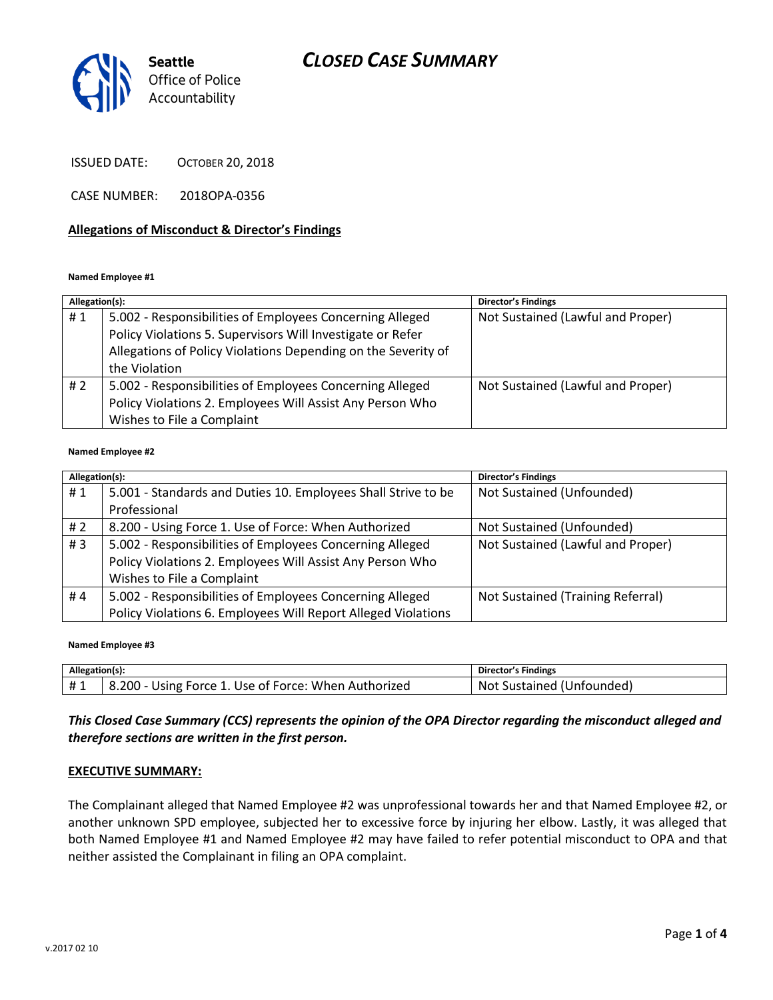# *CLOSED CASE SUMMARY*



ISSUED DATE: OCTOBER 20, 2018

CASE NUMBER: 2018OPA-0356

### **Allegations of Misconduct & Director's Findings**

#### **Named Employee #1**

| Allegation(s): |                                                               | <b>Director's Findings</b>        |
|----------------|---------------------------------------------------------------|-----------------------------------|
| #1             | 5.002 - Responsibilities of Employees Concerning Alleged      | Not Sustained (Lawful and Proper) |
|                | Policy Violations 5. Supervisors Will Investigate or Refer    |                                   |
|                | Allegations of Policy Violations Depending on the Severity of |                                   |
|                | the Violation                                                 |                                   |
| #2             | 5.002 - Responsibilities of Employees Concerning Alleged      | Not Sustained (Lawful and Proper) |
|                | Policy Violations 2. Employees Will Assist Any Person Who     |                                   |
|                | Wishes to File a Complaint                                    |                                   |

#### **Named Employee #2**

| Allegation(s): |                                                               | Director's Findings               |
|----------------|---------------------------------------------------------------|-----------------------------------|
| #1             | 5.001 - Standards and Duties 10. Employees Shall Strive to be | Not Sustained (Unfounded)         |
|                | Professional                                                  |                                   |
| # 2            | 8.200 - Using Force 1. Use of Force: When Authorized          | Not Sustained (Unfounded)         |
| #3             | 5.002 - Responsibilities of Employees Concerning Alleged      | Not Sustained (Lawful and Proper) |
|                | Policy Violations 2. Employees Will Assist Any Person Who     |                                   |
|                | Wishes to File a Complaint                                    |                                   |
| #4             | 5.002 - Responsibilities of Employees Concerning Alleged      | Not Sustained (Training Referral) |
|                | Policy Violations 6. Employees Will Report Alleged Violations |                                   |

**Named Employee #3**

| Allegation(s): |                                                      | Director's Findings          |
|----------------|------------------------------------------------------|------------------------------|
|                | 8.200 - Using Force 1. Use of Force: When Authorized | Sustained (Unfounded)<br>Not |

## *This Closed Case Summary (CCS) represents the opinion of the OPA Director regarding the misconduct alleged and therefore sections are written in the first person.*

#### **EXECUTIVE SUMMARY:**

The Complainant alleged that Named Employee #2 was unprofessional towards her and that Named Employee #2, or another unknown SPD employee, subjected her to excessive force by injuring her elbow. Lastly, it was alleged that both Named Employee #1 and Named Employee #2 may have failed to refer potential misconduct to OPA and that neither assisted the Complainant in filing an OPA complaint.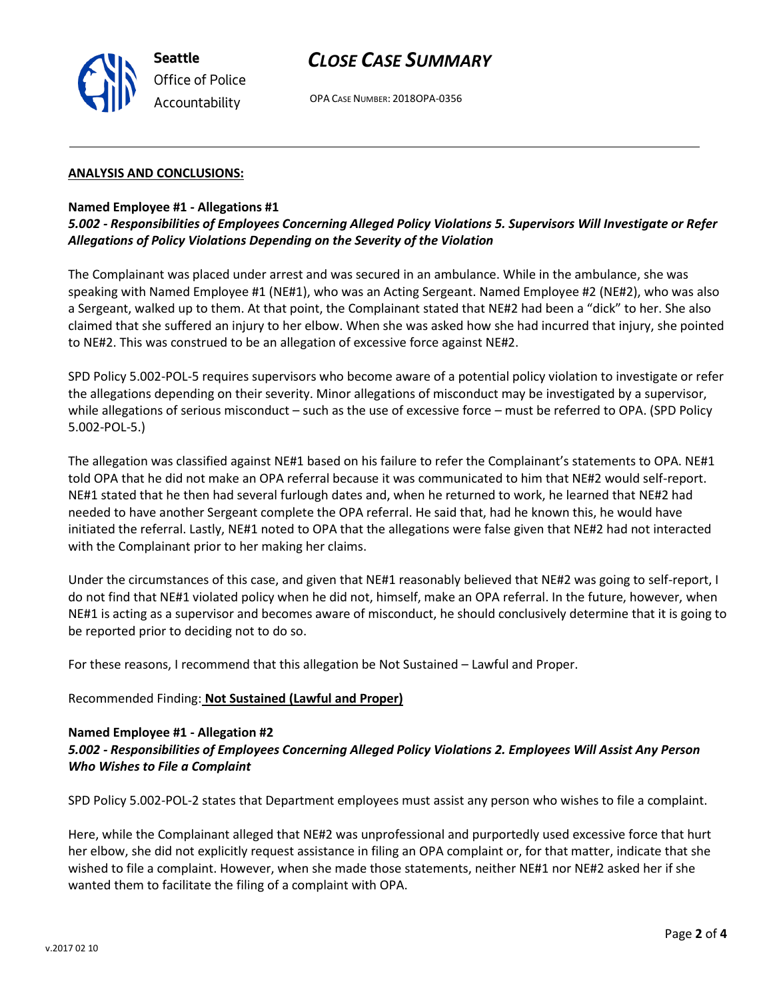

## *CLOSE CASE SUMMARY*

OPA CASE NUMBER: 2018OPA-0356

#### **ANALYSIS AND CONCLUSIONS:**

### **Named Employee #1 - Allegations #1**

## *5.002 - Responsibilities of Employees Concerning Alleged Policy Violations 5. Supervisors Will Investigate or Refer Allegations of Policy Violations Depending on the Severity of the Violation*

The Complainant was placed under arrest and was secured in an ambulance. While in the ambulance, she was speaking with Named Employee #1 (NE#1), who was an Acting Sergeant. Named Employee #2 (NE#2), who was also a Sergeant, walked up to them. At that point, the Complainant stated that NE#2 had been a "dick" to her. She also claimed that she suffered an injury to her elbow. When she was asked how she had incurred that injury, she pointed to NE#2. This was construed to be an allegation of excessive force against NE#2.

SPD Policy 5.002-POL-5 requires supervisors who become aware of a potential policy violation to investigate or refer the allegations depending on their severity. Minor allegations of misconduct may be investigated by a supervisor, while allegations of serious misconduct – such as the use of excessive force – must be referred to OPA. (SPD Policy 5.002-POL-5.)

The allegation was classified against NE#1 based on his failure to refer the Complainant's statements to OPA. NE#1 told OPA that he did not make an OPA referral because it was communicated to him that NE#2 would self-report. NE#1 stated that he then had several furlough dates and, when he returned to work, he learned that NE#2 had needed to have another Sergeant complete the OPA referral. He said that, had he known this, he would have initiated the referral. Lastly, NE#1 noted to OPA that the allegations were false given that NE#2 had not interacted with the Complainant prior to her making her claims.

Under the circumstances of this case, and given that NE#1 reasonably believed that NE#2 was going to self-report, I do not find that NE#1 violated policy when he did not, himself, make an OPA referral. In the future, however, when NE#1 is acting as a supervisor and becomes aware of misconduct, he should conclusively determine that it is going to be reported prior to deciding not to do so.

For these reasons, I recommend that this allegation be Not Sustained – Lawful and Proper.

#### Recommended Finding: **Not Sustained (Lawful and Proper)**

#### **Named Employee #1 - Allegation #2**

### *5.002 - Responsibilities of Employees Concerning Alleged Policy Violations 2. Employees Will Assist Any Person Who Wishes to File a Complaint*

SPD Policy 5.002-POL-2 states that Department employees must assist any person who wishes to file a complaint.

Here, while the Complainant alleged that NE#2 was unprofessional and purportedly used excessive force that hurt her elbow, she did not explicitly request assistance in filing an OPA complaint or, for that matter, indicate that she wished to file a complaint. However, when she made those statements, neither NE#1 nor NE#2 asked her if she wanted them to facilitate the filing of a complaint with OPA.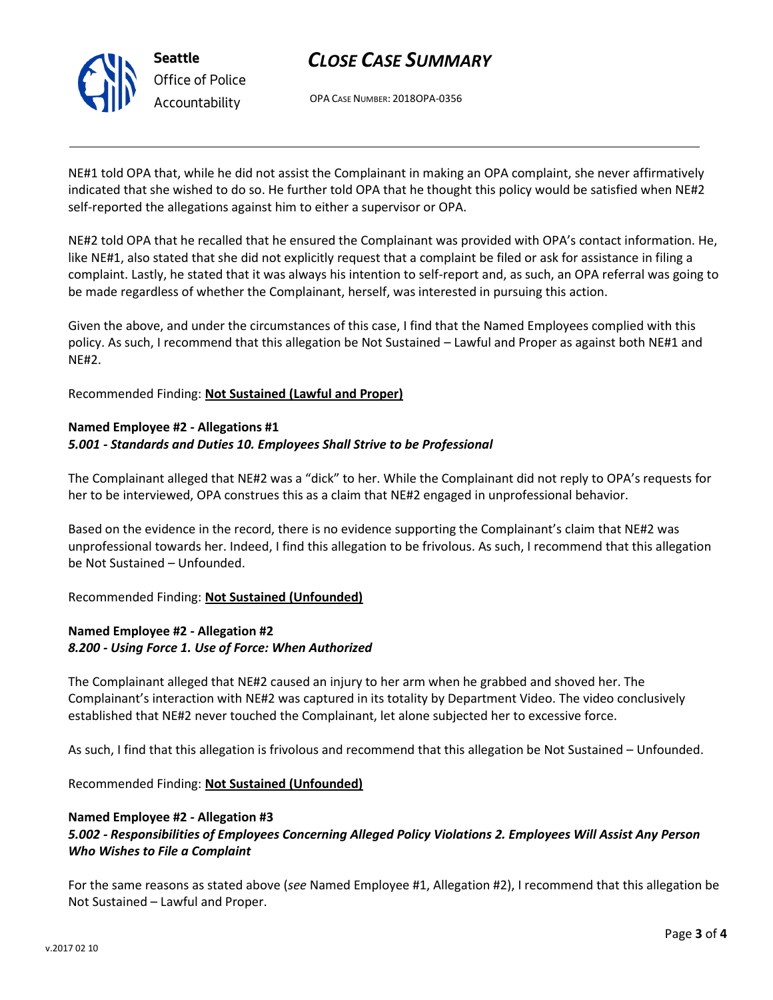

# *CLOSE CASE SUMMARY*

OPA CASE NUMBER: 2018OPA-0356

NE#1 told OPA that, while he did not assist the Complainant in making an OPA complaint, she never affirmatively indicated that she wished to do so. He further told OPA that he thought this policy would be satisfied when NE#2 self-reported the allegations against him to either a supervisor or OPA.

NE#2 told OPA that he recalled that he ensured the Complainant was provided with OPA's contact information. He, like NE#1, also stated that she did not explicitly request that a complaint be filed or ask for assistance in filing a complaint. Lastly, he stated that it was always his intention to self-report and, as such, an OPA referral was going to be made regardless of whether the Complainant, herself, was interested in pursuing this action.

Given the above, and under the circumstances of this case, I find that the Named Employees complied with this policy. As such, I recommend that this allegation be Not Sustained – Lawful and Proper as against both NE#1 and NE#2.

Recommended Finding: **Not Sustained (Lawful and Proper)**

## **Named Employee #2 - Allegations #1** *5.001 - Standards and Duties 10. Employees Shall Strive to be Professional*

The Complainant alleged that NE#2 was a "dick" to her. While the Complainant did not reply to OPA's requests for her to be interviewed, OPA construes this as a claim that NE#2 engaged in unprofessional behavior.

Based on the evidence in the record, there is no evidence supporting the Complainant's claim that NE#2 was unprofessional towards her. Indeed, I find this allegation to be frivolous. As such, I recommend that this allegation be Not Sustained – Unfounded.

Recommended Finding: **Not Sustained (Unfounded)**

## **Named Employee #2 - Allegation #2** *8.200 - Using Force 1. Use of Force: When Authorized*

The Complainant alleged that NE#2 caused an injury to her arm when he grabbed and shoved her. The Complainant's interaction with NE#2 was captured in its totality by Department Video. The video conclusively established that NE#2 never touched the Complainant, let alone subjected her to excessive force.

As such, I find that this allegation is frivolous and recommend that this allegation be Not Sustained – Unfounded.

Recommended Finding: **Not Sustained (Unfounded)**

## **Named Employee #2 - Allegation #3**

## *5.002 - Responsibilities of Employees Concerning Alleged Policy Violations 2. Employees Will Assist Any Person Who Wishes to File a Complaint*

For the same reasons as stated above (*see* Named Employee #1, Allegation #2), I recommend that this allegation be Not Sustained – Lawful and Proper.